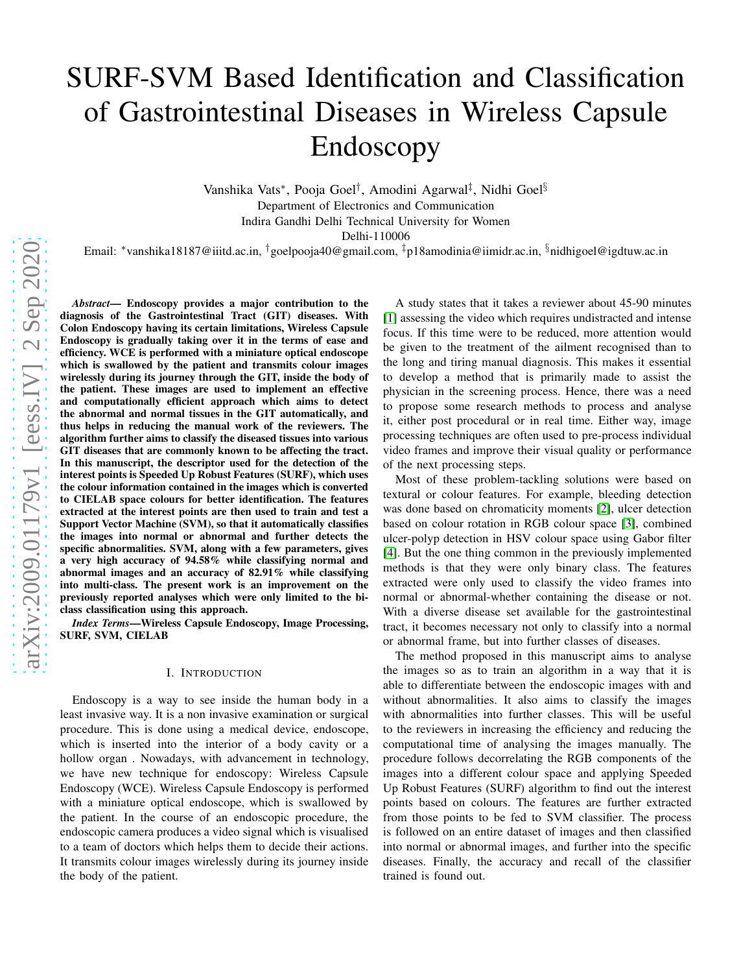# SURF-SVM Based Identification and Classification of Gastrointestinal Diseases in Wireless Capsule Endoscopy

Vanshika Vats<sup>∗</sup> , Pooja Goel† , Amodini Agarwal‡ , Nidhi Goel§ Department of Electronics and Communication Indira Gandhi Delhi Technical University for Women

Delhi-110006

Email: <sup>∗</sup>vanshika18187@iiitd.ac.in, †goelpooja40@gmail.com, ‡p18amodinia@iimidr.ac.in, §nidhigoel@igdtuw.ac.in

*Abstract*— Endoscopy provides a major contribution to the diagnosis of the Gastrointestinal Tract (GIT) diseases. With Colon Endoscopy having its certain limitations, Wireless Capsule Endoscopy is gradually taking over it in the terms of ease and efficiency. WCE is performed with a miniature optical endoscope which is swallowed by the patient and transmits colour images wirelessly during its journey through the GIT, inside the body of the patient. These images are used to implement an effective and computationally efficient approach which aims to detect the abnormal and normal tissues in the GIT automatically, and thus helps in reducing the manual work of the reviewers. The algorithm further aims to classify the diseased tissues into various GIT diseases that are commonly known to be affecting the tract. In this manuscript, the descriptor used for the detection of the interest points is Speeded Up Robust Features (SURF), which uses the colour information contained in the images which is converted to CIELAB space colours for better identification. The features extracted at the interest points are then used to train and test a Support Vector Machine (SVM), so that it automatically classifies the images into normal or abnormal and further detects the specific abnormalities. SVM, along with a few parameters, gives a very high accuracy of 94.58% while classifying normal and abnormal images and an accuracy of 82.91% while classifying into multi-class. The present work is an improvement on the previously reported analyses which were only limited to the biclass classification using this approach.

*Index Terms*—Wireless Capsule Endoscopy, Image Processing, SURF, SVM, CIELAB

#### I. INTRODUCTION

Endoscopy is a way to see inside the human body in a least invasive way. It is a non invasive examination or surgical procedure. This is done using a medical device, endoscope, which is inserted into the interior of a body cavity or a hollow organ . Nowadays, with advancement in technology, we have new technique for endoscopy: Wireless Capsule Endoscopy (WCE). Wireless Capsule Endoscopy is performed with a miniature optical endoscope, which is swallowed by the patient. In the course of an endoscopic procedure, the endoscopic camera produces a video signal which is visualised to a team of doctors which helps them to decide their actions. It transmits colour images wirelessly during its journey inside the body of the patient.

A study states that it takes a reviewer about 45-90 minutes [\[1\]](#page-4-0) assessing the video which requires undistracted and intense focus. If this time were to be reduced, more attention would be given to the treatment of the ailment recognised than to the long and tiring manual diagnosis. This makes it essential to develop a method that is primarily made to assist the physician in the screening process. Hence, there was a need to propose some research methods to process and analyse it, either post procedural or in real time. Either way, image processing techniques are often used to pre-process individual video frames and improve their visual quality or performance of the next processing steps.

Most of these problem-tackling solutions were based on textural or colour features. For example, bleeding detection was done based on chromaticity moments [\[2\]](#page-4-1), ulcer detection based on colour rotation in RGB colour space [\[3\]](#page-4-2), combined ulcer-polyp detection in HSV colour space using Gabor filter [\[4\]](#page-4-3). But the one thing common in the previously implemented methods is that they were only binary class. The features extracted were only used to classify the video frames into normal or abnormal-whether containing the disease or not. With a diverse disease set available for the gastrointestinal tract, it becomes necessary not only to classify into a normal or abnormal frame, but into further classes of diseases.

The method proposed in this manuscript aims to analyse the images so as to train an algorithm in a way that it is able to differentiate between the endoscopic images with and without abnormalities. It also aims to classify the images with abnormalities into further classes. This will be useful to the reviewers in increasing the efficiency and reducing the computational time of analysing the images manually. The procedure follows decorrelating the RGB components of the images into a different colour space and applying Speeded Up Robust Features (SURF) algorithm to find out the interest points based on colours. The features are further extracted from those points to be fed to SVM classifier. The process is followed on an entire dataset of images and then classified into normal or abnormal images, and further into the specific diseases. Finally, the accuracy and recall of the classifier trained is found out.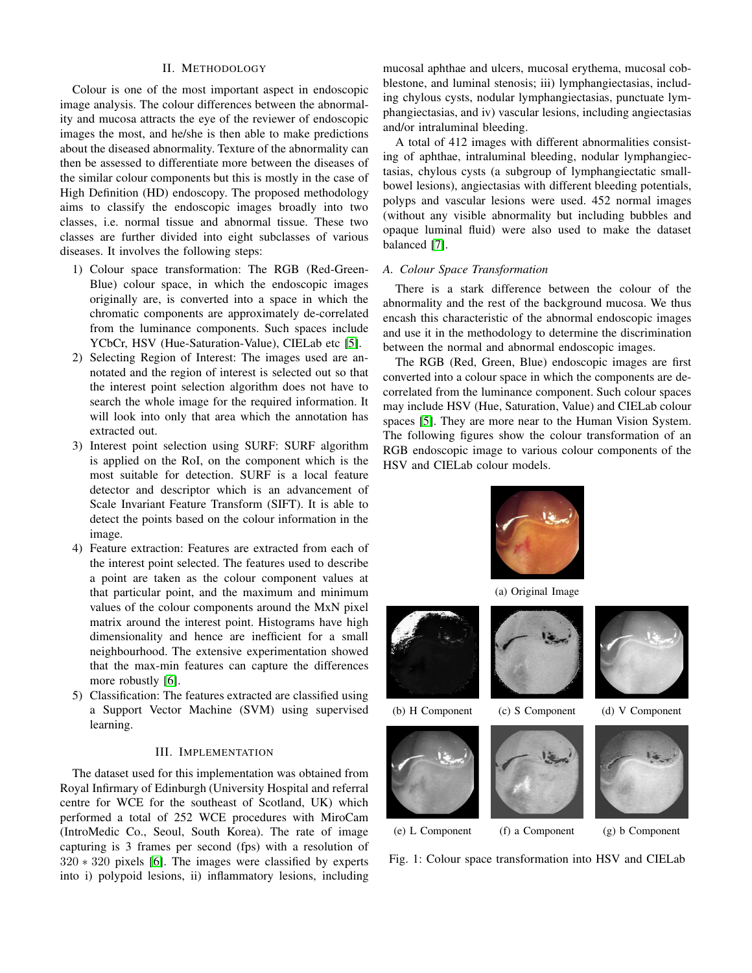## II. METHODOLOGY

Colour is one of the most important aspect in endoscopic image analysis. The colour differences between the abnormality and mucosa attracts the eye of the reviewer of endoscopic images the most, and he/she is then able to make predictions about the diseased abnormality. Texture of the abnormality can then be assessed to differentiate more between the diseases of the similar colour components but this is mostly in the case of High Definition (HD) endoscopy. The proposed methodology aims to classify the endoscopic images broadly into two classes, i.e. normal tissue and abnormal tissue. These two classes are further divided into eight subclasses of various diseases. It involves the following steps:

- 1) Colour space transformation: The RGB (Red-Green-Blue) colour space, in which the endoscopic images originally are, is converted into a space in which the chromatic components are approximately de-correlated from the luminance components. Such spaces include YCbCr, HSV (Hue-Saturation-Value), CIELab etc [\[5\]](#page-4-4).
- 2) Selecting Region of Interest: The images used are annotated and the region of interest is selected out so that the interest point selection algorithm does not have to search the whole image for the required information. It will look into only that area which the annotation has extracted out.
- 3) Interest point selection using SURF: SURF algorithm is applied on the RoI, on the component which is the most suitable for detection. SURF is a local feature detector and descriptor which is an advancement of Scale Invariant Feature Transform (SIFT). It is able to detect the points based on the colour information in the image.
- 4) Feature extraction: Features are extracted from each of the interest point selected. The features used to describe a point are taken as the colour component values at that particular point, and the maximum and minimum values of the colour components around the MxN pixel matrix around the interest point. Histograms have high dimensionality and hence are inefficient for a small neighbourhood. The extensive experimentation showed that the max-min features can capture the differences more robustly [\[6\]](#page-4-5).
- 5) Classification: The features extracted are classified using a Support Vector Machine (SVM) using supervised learning.

#### III. IMPLEMENTATION

The dataset used for this implementation was obtained from Royal Infirmary of Edinburgh (University Hospital and referral centre for WCE for the southeast of Scotland, UK) which performed a total of 252 WCE procedures with MiroCam (IntroMedic Co., Seoul, South Korea). The rate of image capturing is 3 frames per second (fps) with a resolution of 320 ∗ 320 pixels [\[6\]](#page-4-5). The images were classified by experts into i) polypoid lesions, ii) inflammatory lesions, including mucosal aphthae and ulcers, mucosal erythema, mucosal cobblestone, and luminal stenosis; iii) lymphangiectasias, including chylous cysts, nodular lymphangiectasias, punctuate lymphangiectasias, and iv) vascular lesions, including angiectasias and/or intraluminal bleeding.

A total of 412 images with different abnormalities consisting of aphthae, intraluminal bleeding, nodular lymphangiectasias, chylous cysts (a subgroup of lymphangiectatic smallbowel lesions), angiectasias with different bleeding potentials, polyps and vascular lesions were used. 452 normal images (without any visible abnormality but including bubbles and opaque luminal fluid) were also used to make the dataset balanced [\[7\]](#page-4-6).

## *A. Colour Space Transformation*

There is a stark difference between the colour of the abnormality and the rest of the background mucosa. We thus encash this characteristic of the abnormal endoscopic images and use it in the methodology to determine the discrimination between the normal and abnormal endoscopic images.

The RGB (Red, Green, Blue) endoscopic images are first converted into a colour space in which the components are decorrelated from the luminance component. Such colour spaces may include HSV (Hue, Saturation, Value) and CIELab colour spaces [\[5\]](#page-4-4). They are more near to the Human Vision System. The following figures show the colour transformation of an RGB endoscopic image to various colour components of the HSV and CIELab colour models.



(a) Original Image











Fig. 1: Colour space transformation into HSV and CIELab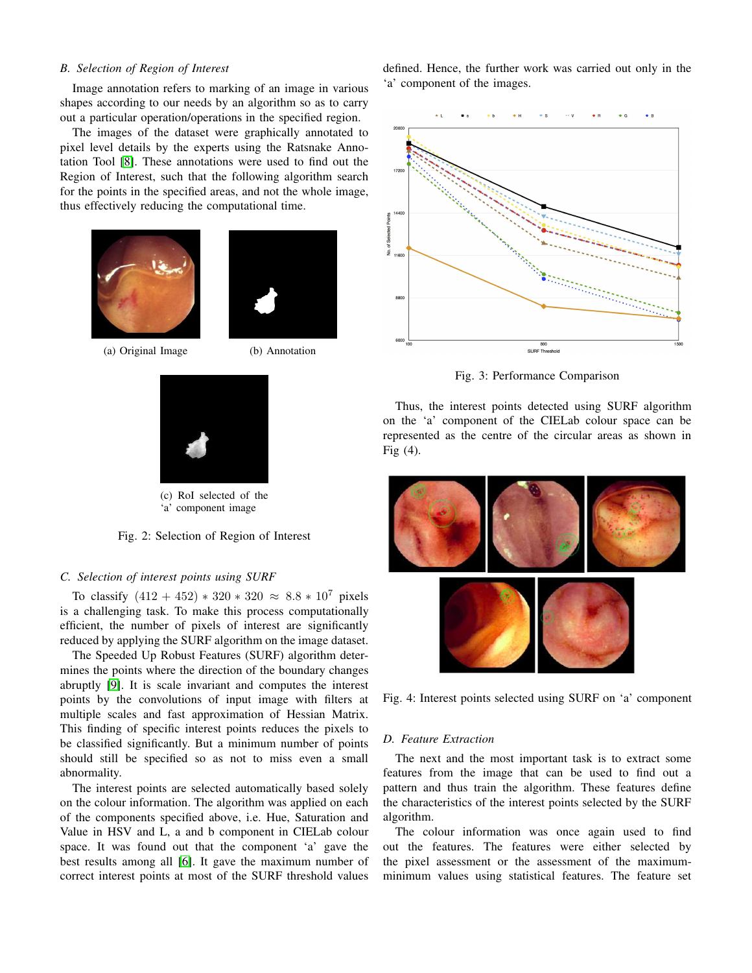## *B. Selection of Region of Interest*

Image annotation refers to marking of an image in various shapes according to our needs by an algorithm so as to carry out a particular operation/operations in the specified region.

The images of the dataset were graphically annotated to pixel level details by the experts using the Ratsnake Annotation Tool [\[8\]](#page-4-7). These annotations were used to find out the Region of Interest, such that the following algorithm search for the points in the specified areas, and not the whole image, thus effectively reducing the computational time.



(a) Original Image (b) Annotation



(c) RoI selected of the 'a' component image

Fig. 2: Selection of Region of Interest

#### *C. Selection of interest points using SURF*

To classify  $(412 + 452) * 320 * 320 \approx 8.8 * 10^7$  pixels is a challenging task. To make this process computationally efficient, the number of pixels of interest are significantly reduced by applying the SURF algorithm on the image dataset.

The Speeded Up Robust Features (SURF) algorithm determines the points where the direction of the boundary changes abruptly [\[9\]](#page-4-8). It is scale invariant and computes the interest points by the convolutions of input image with filters at multiple scales and fast approximation of Hessian Matrix. This finding of specific interest points reduces the pixels to be classified significantly. But a minimum number of points should still be specified so as not to miss even a small abnormality.

The interest points are selected automatically based solely on the colour information. The algorithm was applied on each of the components specified above, i.e. Hue, Saturation and Value in HSV and L, a and b component in CIELab colour space. It was found out that the component 'a' gave the best results among all [\[6\]](#page-4-5). It gave the maximum number of correct interest points at most of the SURF threshold values

defined. Hence, the further work was carried out only in the 'a' component of the images.



Fig. 3: Performance Comparison

Thus, the interest points detected using SURF algorithm on the 'a' component of the CIELab colour space can be represented as the centre of the circular areas as shown in Fig (4).



Fig. 4: Interest points selected using SURF on 'a' component

### *D. Feature Extraction*

The next and the most important task is to extract some features from the image that can be used to find out a pattern and thus train the algorithm. These features define the characteristics of the interest points selected by the SURF algorithm.

The colour information was once again used to find out the features. The features were either selected by the pixel assessment or the assessment of the maximumminimum values using statistical features. The feature set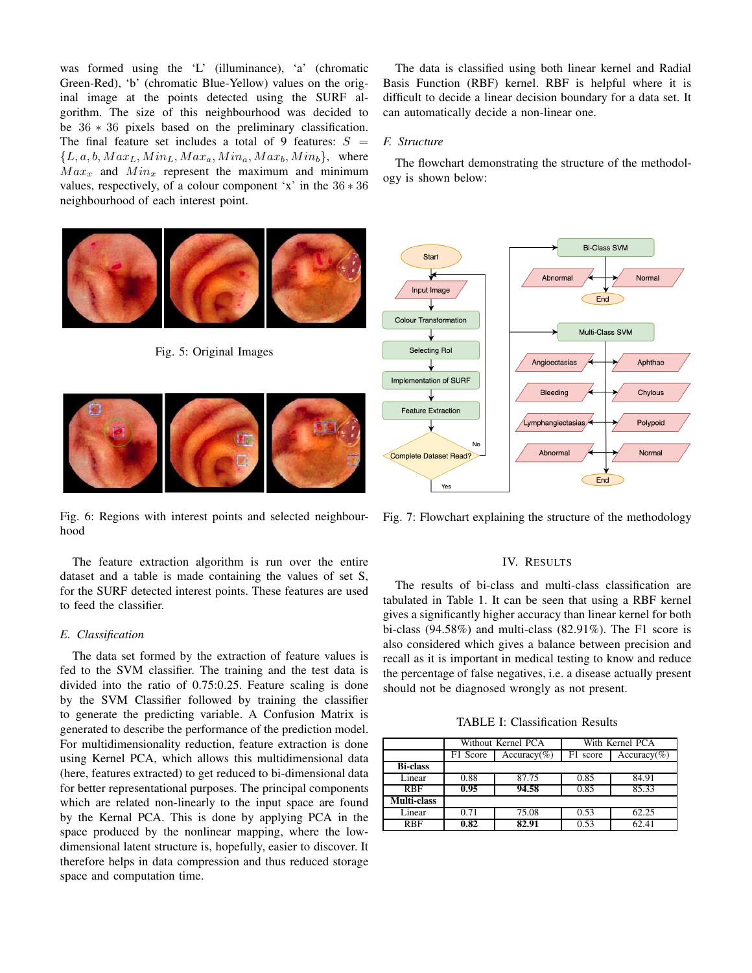was formed using the 'L' (illuminance), 'a' (chromatic Green-Red), 'b' (chromatic Blue-Yellow) values on the original image at the points detected using the SURF algorithm. The size of this neighbourhood was decided to be 36 ∗ 36 pixels based on the preliminary classification. The final feature set includes a total of 9 features:  $S =$  ${L, a, b, Max_L, Min_L, Max_a, Min_a, Max_b, Min_b},$  where  $Max_x$  and  $Min_x$  represent the maximum and minimum values, respectively, of a colour component 'x' in the 36 ∗ 36 neighbourhood of each interest point.

The data is classified using both linear kernel and Radial Basis Function (RBF) kernel. RBF is helpful where it is difficult to decide a linear decision boundary for a data set. It can automatically decide a non-linear one.

### *F. Structure*

The flowchart demonstrating the structure of the methodology is shown below:



Fig. 6: Regions with interest points and selected neighbourhood

The feature extraction algorithm is run over the entire dataset and a table is made containing the values of set S, for the SURF detected interest points. These features are used to feed the classifier.

#### *E. Classification*

The data set formed by the extraction of feature values is fed to the SVM classifier. The training and the test data is divided into the ratio of 0.75:0.25. Feature scaling is done by the SVM Classifier followed by training the classifier to generate the predicting variable. A Confusion Matrix is generated to describe the performance of the prediction model. For multidimensionality reduction, feature extraction is done using Kernel PCA, which allows this multidimensional data (here, features extracted) to get reduced to bi-dimensional data for better representational purposes. The principal components which are related non-linearly to the input space are found by the Kernal PCA. This is done by applying PCA in the space produced by the nonlinear mapping, where the lowdimensional latent structure is, hopefully, easier to discover. It therefore helps in data compression and thus reduced storage space and computation time.

Fig. 7: Flowchart explaining the structure of the methodology

## IV. RESULTS

The results of bi-class and multi-class classification are tabulated in Table 1. It can be seen that using a RBF kernel gives a significantly higher accuracy than linear kernel for both bi-class (94.58%) and multi-class (82.91%). The F1 score is also considered which gives a balance between precision and recall as it is important in medical testing to know and reduce the percentage of false negatives, i.e. a disease actually present should not be diagnosed wrongly as not present.

TABLE I: Classification Results

|                 | Without Kernel PCA |                | With Kernel PCA |                |
|-----------------|--------------------|----------------|-----------------|----------------|
|                 | F1 Score           | $Accuracy(\%)$ | F1 score        | $Accuracy(\%)$ |
| <b>Bi-class</b> |                    |                |                 |                |
| Linear          | 0.88               | 87.75          | 0.85            | 84.91          |
| <b>RBF</b>      | 0.95               | 94.58          | 0.85            | 85.33          |
| Multi-class     |                    |                |                 |                |
| Linear          | 0.71               | 75.08          | 0.53            | 62.25          |
| <b>RBF</b>      | 0.82               | 82.91          | 0.53            | 62.41          |